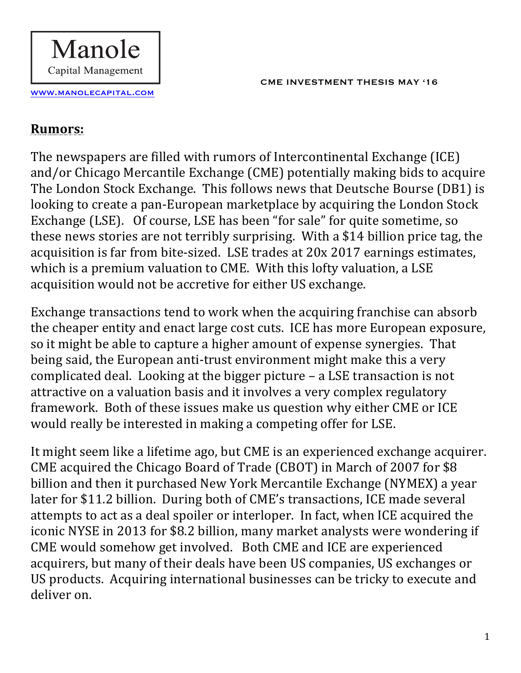

www.manolecapital.com

### **Rumors:**

The newspapers are filled with rumors of Intercontinental Exchange (ICE) and/or Chicago Mercantile Exchange (CME) potentially making bids to acquire The London Stock Exchange. This follows news that Deutsche Bourse (DB1) is looking to create a pan-European marketplace by acquiring the London Stock Exchange (LSE). Of course, LSE has been "for sale" for quite sometime, so these news stories are not terribly surprising. With a \$14 billion price tag, the acquisition is far from bite-sized. LSE trades at 20x 2017 earnings estimates, which is a premium valuation to CME. With this lofty valuation, a LSE acquisition would not be accretive for either US exchange.

Exchange transactions tend to work when the acquiring franchise can absorb the cheaper entity and enact large cost cuts. ICE has more European exposure, so it might be able to capture a higher amount of expense synergies. That being said, the European anti-trust environment might make this a very complicated deal. Looking at the bigger picture  $-$  a LSE transaction is not attractive on a valuation basis and it involves a very complex regulatory framework. Both of these issues make us question why either CME or ICE would really be interested in making a competing offer for LSE.

It might seem like a lifetime ago, but CME is an experienced exchange acquirer. CME acquired the Chicago Board of Trade (CBOT) in March of 2007 for \$8 billion and then it purchased New York Mercantile Exchange (NYMEX) a year later for \$11.2 billion. During both of CME's transactions, ICE made several attempts to act as a deal spoiler or interloper. In fact, when ICE acquired the iconic NYSE in 2013 for \$8.2 billion, many market analysts were wondering if CME would somehow get involved. Both CME and ICE are experienced acquirers, but many of their deals have been US companies, US exchanges or US products. Acquiring international businesses can be tricky to execute and deliver on.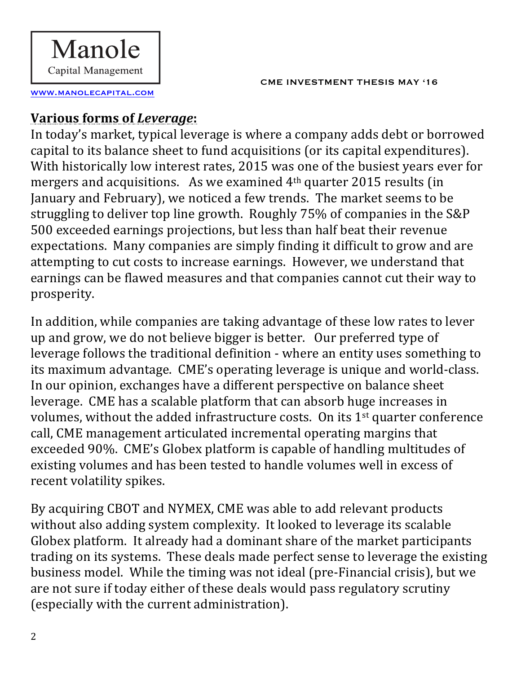

www.manolecapital.com

### **Various forms of Leverage:**

In today's market, typical leverage is where a company adds debt or borrowed capital to its balance sheet to fund acquisitions (or its capital expenditures). With historically low interest rates, 2015 was one of the busiest years ever for mergers and acquisitions. As we examined  $4<sup>th</sup>$  quarter 2015 results (in January and February), we noticed a few trends. The market seems to be struggling to deliver top line growth. Roughly 75% of companies in the S&P 500 exceeded earnings projections, but less than half beat their revenue expectations. Many companies are simply finding it difficult to grow and are attempting to cut costs to increase earnings. However, we understand that earnings can be flawed measures and that companies cannot cut their way to prosperity. 

In addition, while companies are taking advantage of these low rates to lever up and grow, we do not believe bigger is better. Our preferred type of leverage follows the traditional definition - where an entity uses something to its maximum advantage. CME's operating leverage is unique and world-class. In our opinion, exchanges have a different perspective on balance sheet leverage. CME has a scalable platform that can absorb huge increases in volumes, without the added infrastructure costs. On its  $1<sup>st</sup>$  quarter conference call, CME management articulated incremental operating margins that exceeded 90%. CME's Globex platform is capable of handling multitudes of existing volumes and has been tested to handle volumes well in excess of recent volatility spikes.

By acquiring CBOT and NYMEX, CME was able to add relevant products without also adding system complexity. It looked to leverage its scalable Globex platform. It already had a dominant share of the market participants trading on its systems. These deals made perfect sense to leverage the existing business model. While the timing was not ideal (pre-Financial crisis), but we are not sure if today either of these deals would pass regulatory scrutiny (especially with the current administration).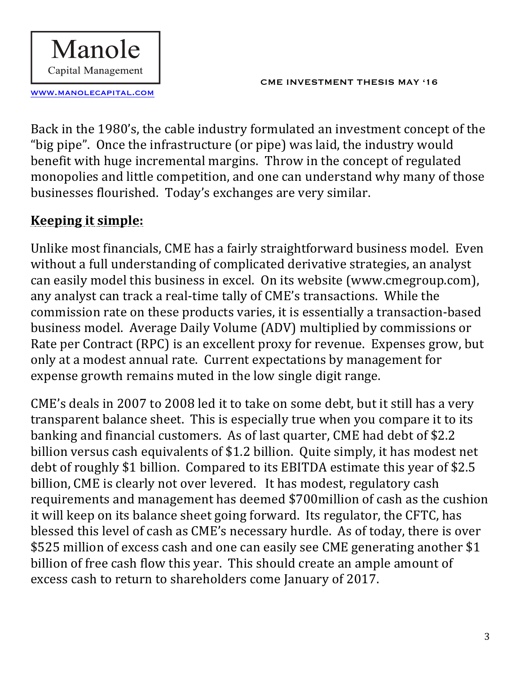

www.manolecapital.com

Back in the 1980's, the cable industry formulated an investment concept of the "big pipe". Once the infrastructure (or pipe) was laid, the industry would benefit with huge incremental margins. Throw in the concept of regulated monopolies and little competition, and one can understand why many of those businesses flourished. Today's exchanges are very similar.

## **Keeping it simple:**

Unlike most financials, CME has a fairly straightforward business model. Even without a full understanding of complicated derivative strategies, an analyst can easily model this business in excel. On its website (www.cmegroup.com), any analyst can track a real-time tally of CME's transactions. While the commission rate on these products varies, it is essentially a transaction-based business model. Average Daily Volume (ADV) multiplied by commissions or Rate per Contract (RPC) is an excellent proxy for revenue. Expenses grow, but only at a modest annual rate. Current expectations by management for expense growth remains muted in the low single digit range.

CME's deals in 2007 to 2008 led it to take on some debt, but it still has a very transparent balance sheet. This is especially true when you compare it to its banking and financial customers. As of last quarter, CME had debt of \$2.2 billion versus cash equivalents of \$1.2 billion. Quite simply, it has modest net debt of roughly \$1 billion. Compared to its EBITDA estimate this year of \$2.5 billion, CME is clearly not over levered. It has modest, regulatory cash requirements and management has deemed \$700million of cash as the cushion it will keep on its balance sheet going forward. Its regulator, the CFTC, has blessed this level of cash as CME's necessary hurdle. As of today, there is over \$525 million of excess cash and one can easily see CME generating another \$1 billion of free cash flow this year. This should create an ample amount of excess cash to return to shareholders come January of 2017.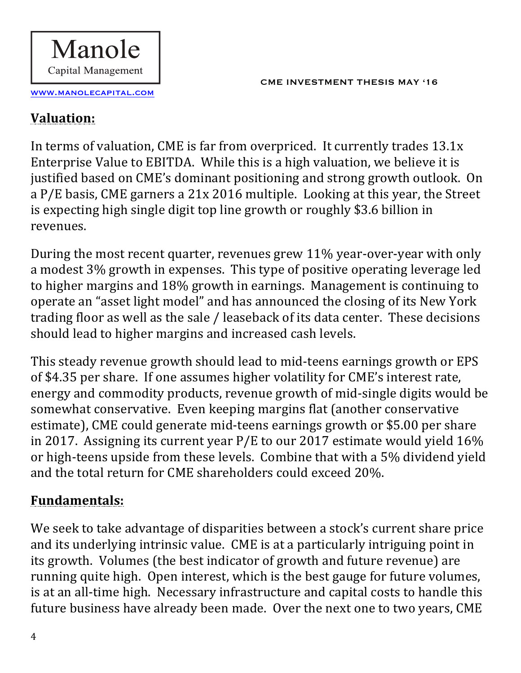

#### www.manolecapital.com

## **Valuation:**

In terms of valuation, CME is far from overpriced. It currently trades  $13.1x$ Enterprise Value to EBITDA. While this is a high valuation, we believe it is justified based on CME's dominant positioning and strong growth outlook. On a  $P/E$  basis, CME garners a  $21x$  2016 multiple. Looking at this year, the Street is expecting high single digit top line growth or roughly \$3.6 billion in revenues. 

During the most recent quarter, revenues grew  $11\%$  year-over-year with only a modest 3% growth in expenses. This type of positive operating leverage led to higher margins and 18% growth in earnings. Management is continuing to operate an "asset light model" and has announced the closing of its New York trading floor as well as the sale / leaseback of its data center. These decisions should lead to higher margins and increased cash levels.

This steady revenue growth should lead to mid-teens earnings growth or EPS of \$4.35 per share. If one assumes higher volatility for CME's interest rate, energy and commodity products, revenue growth of mid-single digits would be somewhat conservative. Even keeping margins flat (another conservative estimate), CME could generate mid-teens earnings growth or \$5.00 per share in 2017. Assigning its current year  $P/E$  to our 2017 estimate would yield 16% or high-teens upside from these levels. Combine that with a 5% dividend yield and the total return for CME shareholders could exceed 20%.

### **Fundamentals:**

We seek to take advantage of disparities between a stock's current share price and its underlying intrinsic value. CME is at a particularly intriguing point in its growth. Volumes (the best indicator of growth and future revenue) are running quite high. Open interest, which is the best gauge for future volumes, is at an all-time high. Necessary infrastructure and capital costs to handle this future business have already been made. Over the next one to two years, CME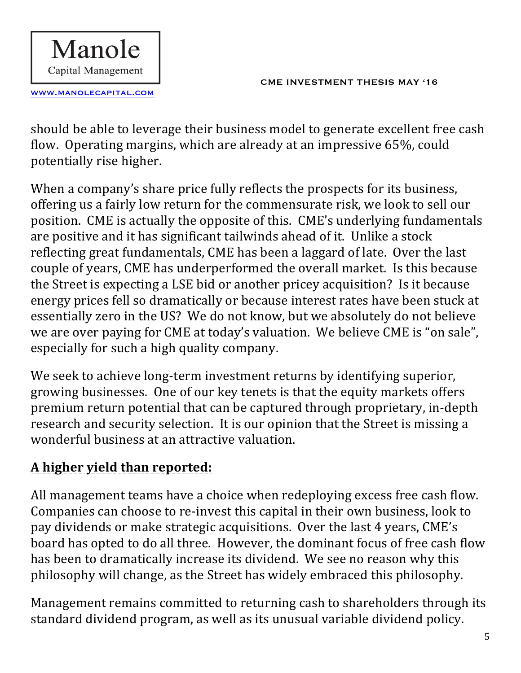

www.manolecapital.com

should be able to leverage their business model to generate excellent free cash flow. Operating margins, which are already at an impressive 65%, could potentially rise higher.

When a company's share price fully reflects the prospects for its business, offering us a fairly low return for the commensurate risk, we look to sell our position. CME is actually the opposite of this. CME's underlying fundamentals are positive and it has significant tailwinds ahead of it. Unlike a stock reflecting great fundamentals, CME has been a laggard of late. Over the last couple of years, CME has underperformed the overall market. Is this because the Street is expecting a LSE bid or another pricey acquisition? Is it because energy prices fell so dramatically or because interest rates have been stuck at essentially zero in the US? We do not know, but we absolutely do not believe we are over paying for CME at today's valuation. We believe CME is "on sale", especially for such a high quality company.

We seek to achieve long-term investment returns by identifying superior, growing businesses. One of our key tenets is that the equity markets offers premium return potential that can be captured through proprietary, in-depth research and security selection. It is our opinion that the Street is missing a wonderful business at an attractive valuation.

# **A higher yield than reported:**

All management teams have a choice when redeploying excess free cash flow. Companies can choose to re-invest this capital in their own business, look to pay dividends or make strategic acquisitions. Over the last 4 years, CME's board has opted to do all three. However, the dominant focus of free cash flow has been to dramatically increase its dividend. We see no reason why this philosophy will change, as the Street has widely embraced this philosophy.

Management remains committed to returning cash to shareholders through its standard dividend program, as well as its unusual variable dividend policy.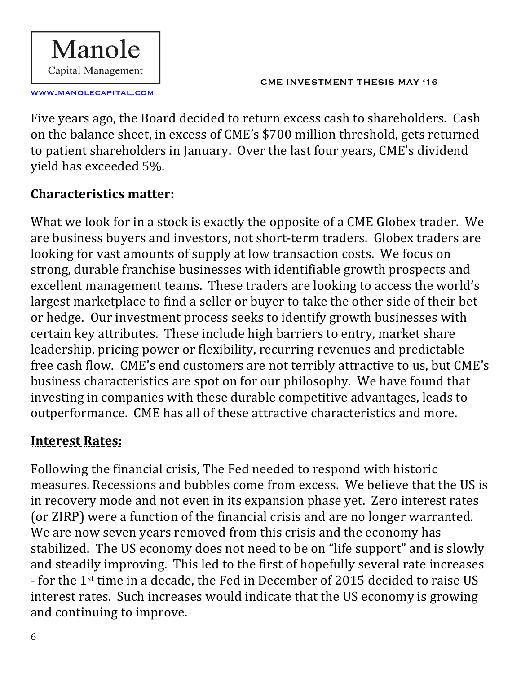Manole Capital Management

www.manolecapital.com

Five years ago, the Board decided to return excess cash to shareholders. Cash on the balance sheet, in excess of CME's \$700 million threshold, gets returned to patient shareholders in January. Over the last four years, CME's dividend yield has exceeded 5%.

## **Characteristics matter:**

What we look for in a stock is exactly the opposite of a CME Globex trader. We are business buyers and investors, not short-term traders. Globex traders are looking for vast amounts of supply at low transaction costs. We focus on strong, durable franchise businesses with identifiable growth prospects and excellent management teams. These traders are looking to access the world's largest marketplace to find a seller or buyer to take the other side of their bet or hedge. Our investment process seeks to identify growth businesses with certain key attributes. These include high barriers to entry, market share leadership, pricing power or flexibility, recurring revenues and predictable free cash flow. CME's end customers are not terribly attractive to us, but CME's business characteristics are spot on for our philosophy. We have found that investing in companies with these durable competitive advantages, leads to outperformance. CME has all of these attractive characteristics and more.

## **Interest Rates:**

Following the financial crisis, The Fed needed to respond with historic measures. Recessions and bubbles come from excess. We believe that the US is in recovery mode and not even in its expansion phase yet. Zero interest rates (or ZIRP) were a function of the financial crisis and are no longer warranted. We are now seven years removed from this crisis and the economy has stabilized. The US economy does not need to be on "life support" and is slowly and steadily improving. This led to the first of hopefully several rate increases - for the 1<sup>st</sup> time in a decade, the Fed in December of 2015 decided to raise US interest rates. Such increases would indicate that the US economy is growing and continuing to improve.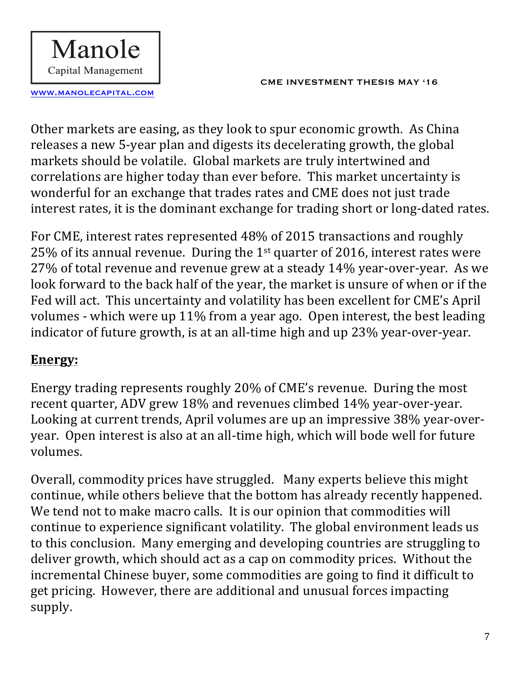Manole **Capital Management** 

www.manolecapital.com

Other markets are easing, as they look to spur economic growth. As China releases a new 5-year plan and digests its decelerating growth, the global markets should be volatile. Global markets are truly intertwined and correlations are higher today than ever before. This market uncertainty is wonderful for an exchange that trades rates and CME does not just trade interest rates, it is the dominant exchange for trading short or long-dated rates.

For CME, interest rates represented 48% of 2015 transactions and roughly 25% of its annual revenue. During the  $1<sup>st</sup>$  quarter of 2016, interest rates were 27% of total revenue and revenue grew at a steady 14% year-over-year. As we look forward to the back half of the year, the market is unsure of when or if the Fed will act. This uncertainty and volatility has been excellent for CME's April volumes - which were up  $11\%$  from a year ago. Open interest, the best leading indicator of future growth, is at an all-time high and up 23% year-over-year.

# **Energy:**

Energy trading represents roughly 20% of CME's revenue. During the most recent quarter, ADV grew 18% and revenues climbed 14% year-over-year. Looking at current trends, April volumes are up an impressive 38% year-overyear. Open interest is also at an all-time high, which will bode well for future volumes.

Overall, commodity prices have struggled. Many experts believe this might continue, while others believe that the bottom has already recently happened. We tend not to make macro calls. It is our opinion that commodities will continue to experience significant volatility. The global environment leads us to this conclusion. Many emerging and developing countries are struggling to deliver growth, which should act as a cap on commodity prices. Without the incremental Chinese buyer, some commodities are going to find it difficult to get pricing. However, there are additional and unusual forces impacting supply.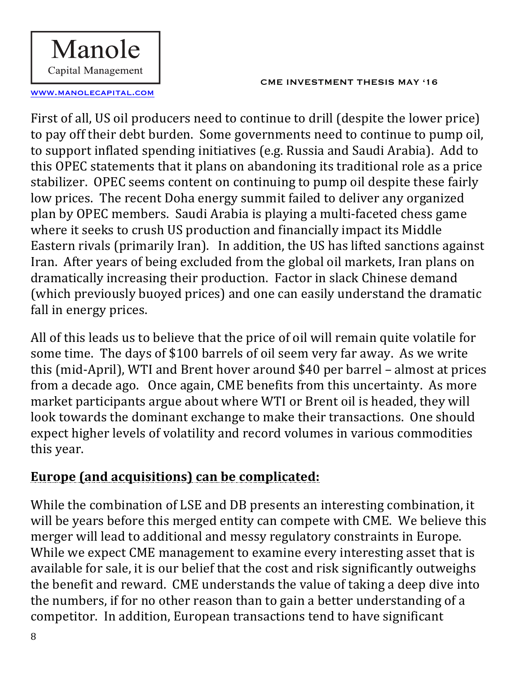Manole Capital Management

www.manolecapital.com

First of all, US oil producers need to continue to drill (despite the lower price) to pay off their debt burden. Some governments need to continue to pump oil, to support inflated spending initiatives (e.g. Russia and Saudi Arabia). Add to this OPEC statements that it plans on abandoning its traditional role as a price stabilizer. OPEC seems content on continuing to pump oil despite these fairly low prices. The recent Doha energy summit failed to deliver any organized plan by OPEC members. Saudi Arabia is playing a multi-faceted chess game where it seeks to crush US production and financially impact its Middle Eastern rivals (primarily Iran). In addition, the US has lifted sanctions against Iran. After years of being excluded from the global oil markets, Iran plans on dramatically increasing their production. Factor in slack Chinese demand (which previously buoyed prices) and one can easily understand the dramatic fall in energy prices.

All of this leads us to believe that the price of oil will remain quite volatile for some time. The days of \$100 barrels of oil seem very far away. As we write this (mid-April), WTI and Brent hover around \$40 per barrel – almost at prices from a decade ago. Once again, CME benefits from this uncertainty. As more market participants argue about where WTI or Brent oil is headed, they will look towards the dominant exchange to make their transactions. One should expect higher levels of volatility and record volumes in various commodities this year.

# **Europe (and acquisitions) can be complicated:**

While the combination of LSE and DB presents an interesting combination, it will be years before this merged entity can compete with CME. We believe this merger will lead to additional and messy regulatory constraints in Europe. While we expect CME management to examine every interesting asset that is available for sale, it is our belief that the cost and risk significantly outweighs the benefit and reward. CME understands the value of taking a deep dive into the numbers, if for no other reason than to gain a better understanding of a competitor. In addition, European transactions tend to have significant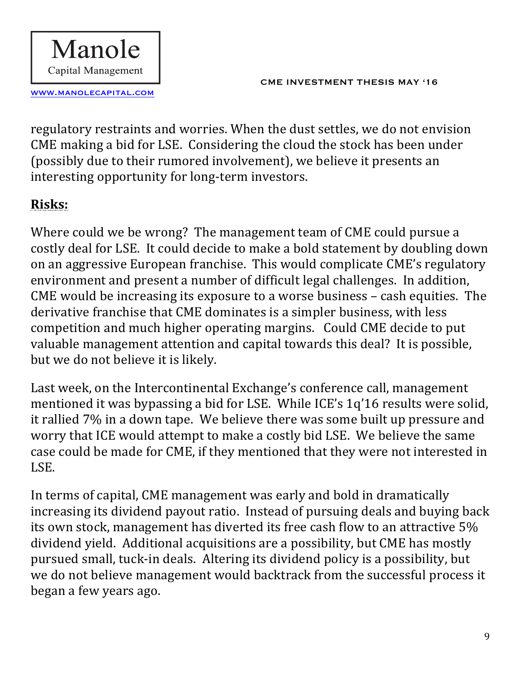Manole **Capital Management** 

www.manolecapital.com

regulatory restraints and worries. When the dust settles, we do not envision CME making a bid for LSE. Considering the cloud the stock has been under (possibly due to their rumored involvement), we believe it presents an interesting opportunity for long-term investors.

### **Risks:**

Where could we be wrong? The management team of CME could pursue a costly deal for LSE. It could decide to make a bold statement by doubling down on an aggressive European franchise. This would complicate CME's regulatory environment and present a number of difficult legal challenges. In addition, CME would be increasing its exposure to a worse business  $-$  cash equities. The derivative franchise that CME dominates is a simpler business, with less competition and much higher operating margins. Could CME decide to put valuable management attention and capital towards this deal? It is possible, but we do not believe it is likely.

Last week, on the Intercontinental Exchange's conference call, management mentioned it was bypassing a bid for LSE. While ICE's 1q'16 results were solid, it rallied 7% in a down tape. We believe there was some built up pressure and worry that ICE would attempt to make a costly bid LSE. We believe the same case could be made for CME, if they mentioned that they were not interested in LSE.

In terms of capital, CME management was early and bold in dramatically increasing its dividend payout ratio. Instead of pursuing deals and buying back its own stock, management has diverted its free cash flow to an attractive 5% dividend yield. Additional acquisitions are a possibility, but CME has mostly pursued small, tuck-in deals. Altering its dividend policy is a possibility, but we do not believe management would backtrack from the successful process it began a few years ago.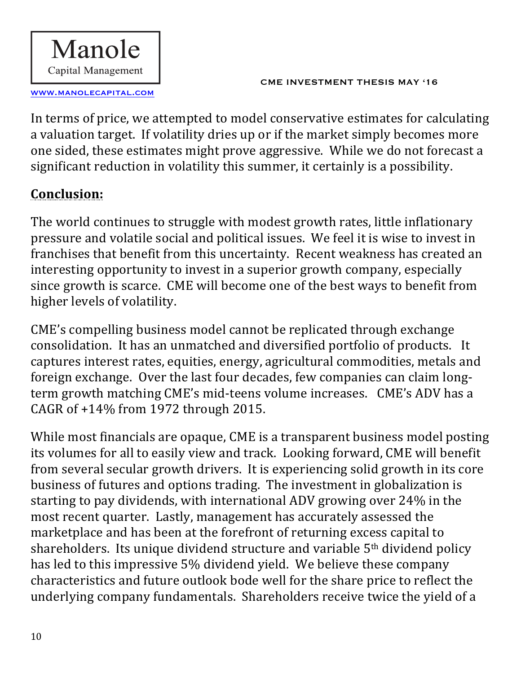

www.manolecapital.com

In terms of price, we attempted to model conservative estimates for calculating a valuation target. If volatility dries up or if the market simply becomes more one sided, these estimates might prove aggressive. While we do not forecast a significant reduction in volatility this summer, it certainly is a possibility.

## **Conclusion:**

The world continues to struggle with modest growth rates, little inflationary pressure and volatile social and political issues. We feel it is wise to invest in franchises that benefit from this uncertainty. Recent weakness has created an interesting opportunity to invest in a superior growth company, especially since growth is scarce. CME will become one of the best ways to benefit from higher levels of volatility.

CME's compelling business model cannot be replicated through exchange consolidation. It has an unmatched and diversified portfolio of products. It captures interest rates, equities, energy, agricultural commodities, metals and foreign exchange. Over the last four decades, few companies can claim longterm growth matching CME's mid-teens volume increases. CME's ADV has a CAGR of  $+14\%$  from 1972 through 2015.

While most financials are opaque, CME is a transparent business model posting its volumes for all to easily view and track. Looking forward, CME will benefit from several secular growth drivers. It is experiencing solid growth in its core business of futures and options trading. The investment in globalization is starting to pay dividends, with international ADV growing over 24% in the most recent quarter. Lastly, management has accurately assessed the marketplace and has been at the forefront of returning excess capital to shareholders. Its unique dividend structure and variable  $5<sup>th</sup>$  dividend policy has led to this impressive 5% dividend yield. We believe these company characteristics and future outlook bode well for the share price to reflect the underlying company fundamentals. Shareholders receive twice the yield of a